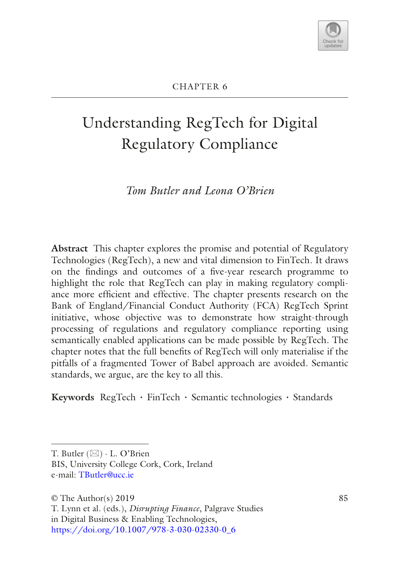

# Understanding RegTech for Digital Regulatory Compliance

*Tom Butler and Leona O'Brien*

**Abstract** This chapter explores the promise and potential of Regulatory Technologies (RegTech), a new and vital dimension to FinTech. It draws on the fndings and outcomes of a fve-year research programme to highlight the role that RegTech can play in making regulatory compliance more efficient and effective. The chapter presents research on the Bank of England/Financial Conduct Authority (FCA) RegTech Sprint initiative, whose objective was to demonstrate how straight-through processing of regulations and regulatory compliance reporting using semantically enabled applications can be made possible by RegTech. The chapter notes that the full benefts of RegTech will only materialise if the pitfalls of a fragmented Tower of Babel approach are avoided. Semantic standards, we argue, are the key to all this.

**Keywords** RegTech · FinTech · Semantic technologies · Standards

T. Butler  $(\boxtimes)$   $\cdot$  L. O'Brien

BIS, University College Cork, Cork, Ireland e-mail: TButler@ucc.ie

<sup>©</sup> The Author(s) 2019

T. Lynn et al. (eds.), *Disrupting Finance*, Palgrave Studies in Digital Business & Enabling Technologies, [https://doi.org/10.1007/978-3-030-02330-0\\_6](https://doi.org/10.1007/978-3-030-02330-0_6)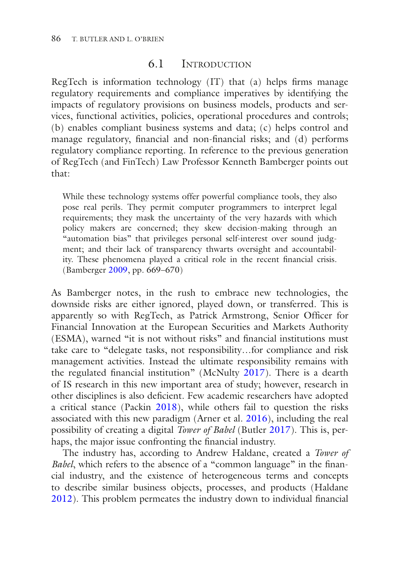# 6.1 Introduction

RegTech is information technology (IT) that (a) helps frms manage regulatory requirements and compliance imperatives by identifying the impacts of regulatory provisions on business models, products and services, functional activities, policies, operational procedures and controls; (b) enables compliant business systems and data; (c) helps control and manage regulatory, fnancial and non-fnancial risks; and (d) performs regulatory compliance reporting. In reference to the previous generation of RegTech (and FinTech) Law Professor Kenneth Bamberger points out that:

While these technology systems offer powerful compliance tools, they also pose real perils. They permit computer programmers to interpret legal requirements; they mask the uncertainty of the very hazards with which policy makers are concerned; they skew decision-making through an "automation bias" that privileges personal self-interest over sound judgment; and their lack of transparency thwarts oversight and accountability. These phenomena played a critical role in the recent fnancial crisis. (Bamberger [2009](#page-15-0), pp. 669–670)

As Bamberger notes, in the rush to embrace new technologies, the downside risks are either ignored, played down, or transferred. This is apparently so with RegTech, as Patrick Armstrong, Senior Officer for Financial Innovation at the European Securities and Markets Authority (ESMA), warned "it is not without risks" and fnancial institutions must take care to "delegate tasks, not responsibility…for compliance and risk management activities. Instead the ultimate responsibility remains with the regulated fnancial institution" (McNulty [2017](#page-16-0)). There is a dearth of IS research in this new important area of study; however, research in other disciplines is also defcient. Few academic researchers have adopted a critical stance (Packin [2018\)](#page-16-1), while others fail to question the risks associated with this new paradigm (Arner et al. [2016\)](#page-15-1), including the real possibility of creating a digital *Tower of Babel* (Butler [2017](#page-15-2)). This is, perhaps, the major issue confronting the fnancial industry.

The industry has, according to Andrew Haldane, created a *Tower of Babel*, which refers to the absence of a "common language" in the fnancial industry, and the existence of heterogeneous terms and concepts to describe similar business objects, processes, and products (Haldane [2012](#page-16-2)). This problem permeates the industry down to individual fnancial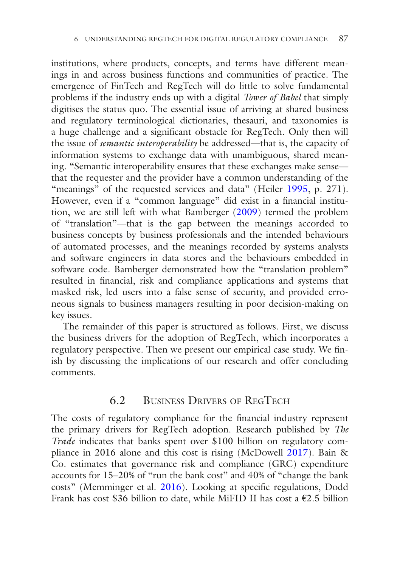institutions, where products, concepts, and terms have different meanings in and across business functions and communities of practice. The emergence of FinTech and RegTech will do little to solve fundamental problems if the industry ends up with a digital *Tower of Babel* that simply digitises the status quo. The essential issue of arriving at shared business and regulatory terminological dictionaries, thesauri, and taxonomies is a huge challenge and a signifcant obstacle for RegTech. Only then will the issue of *semantic interoperability* be addressed—that is, the capacity of information systems to exchange data with unambiguous, shared meaning. "Semantic interoperability ensures that these exchanges make sense that the requester and the provider have a common understanding of the "meanings" of the requested services and data" (Heiler [1995](#page-16-3), p. 271). However, even if a "common language" did exist in a fnancial institution, we are still left with what Bamberger [\(2009](#page-15-0)) termed the problem of "translation"—that is the gap between the meanings accorded to business concepts by business professionals and the intended behaviours of automated processes, and the meanings recorded by systems analysts and software engineers in data stores and the behaviours embedded in software code. Bamberger demonstrated how the "translation problem" resulted in fnancial, risk and compliance applications and systems that masked risk, led users into a false sense of security, and provided erroneous signals to business managers resulting in poor decision-making on key issues.

The remainder of this paper is structured as follows. First, we discuss the business drivers for the adoption of RegTech, which incorporates a regulatory perspective. Then we present our empirical case study. We fnish by discussing the implications of our research and offer concluding comments.

# 6.2 Business Drivers of RegTech

The costs of regulatory compliance for the fnancial industry represent the primary drivers for RegTech adoption. Research published by *The Trade* indicates that banks spent over \$100 billion on regulatory compliance in 2016 alone and this cost is rising (McDowell [2017](#page-16-4)). Bain & Co. estimates that governance risk and compliance (GRC) expenditure accounts for 15–20% of "run the bank cost" and 40% of "change the bank costs" (Memminger et al. [2016](#page-16-5)). Looking at specifc regulations, Dodd Frank has cost \$36 billion to date, while MiFID II has cost a  $\epsilon$ 2.5 billion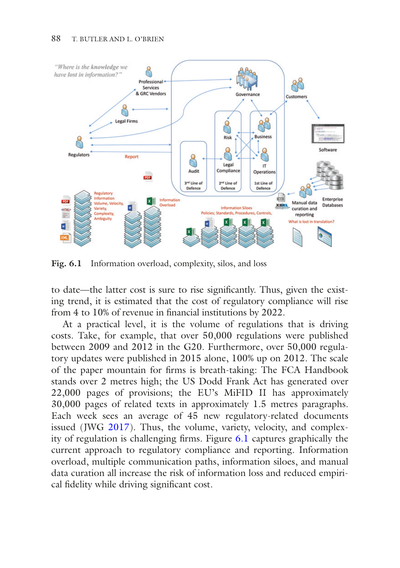

<span id="page-3-0"></span>**Fig. 6.1** Information overload, complexity, silos, and loss

to date—the latter cost is sure to rise signifcantly. Thus, given the existing trend, it is estimated that the cost of regulatory compliance will rise from 4 to 10% of revenue in fnancial institutions by 2022.

At a practical level, it is the volume of regulations that is driving costs. Take, for example, that over 50,000 regulations were published between 2009 and 2012 in the G20. Furthermore, over 50,000 regulatory updates were published in 2015 alone, 100% up on 2012. The scale of the paper mountain for frms is breath-taking: The FCA Handbook stands over 2 metres high; the US Dodd Frank Act has generated over 22,000 pages of provisions; the EU's MiFID II has approximately 30,000 pages of related texts in approximately 1.5 metres paragraphs. Each week sees an average of 45 new regulatory-related documents issued (JWG [2017\)](#page-16-6). Thus, the volume, variety, velocity, and complexity of regulation is challenging frms. Figure [6.1](#page-3-0) captures graphically the current approach to regulatory compliance and reporting. Information overload, multiple communication paths, information siloes, and manual data curation all increase the risk of information loss and reduced empirical fdelity while driving signifcant cost.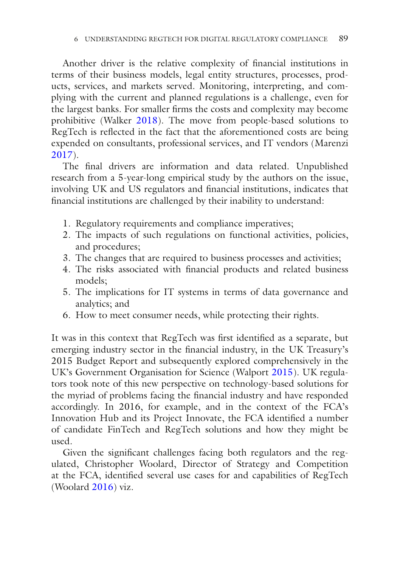Another driver is the relative complexity of fnancial institutions in terms of their business models, legal entity structures, processes, products, services, and markets served. Monitoring, interpreting, and complying with the current and planned regulations is a challenge, even for the largest banks. For smaller frms the costs and complexity may become prohibitive (Walker [2018](#page-16-7)). The move from people-based solutions to RegTech is refected in the fact that the aforementioned costs are being expended on consultants, professional services, and IT vendors (Marenzi [2017](#page-16-8)).

The fnal drivers are information and data related. Unpublished research from a 5-year-long empirical study by the authors on the issue, involving UK and US regulators and fnancial institutions, indicates that fnancial institutions are challenged by their inability to understand:

- 1. Regulatory requirements and compliance imperatives;
- 2. The impacts of such regulations on functional activities, policies, and procedures;
- 3. The changes that are required to business processes and activities;
- 4. The risks associated with fnancial products and related business models;
- 5. The implications for IT systems in terms of data governance and analytics; and
- 6. How to meet consumer needs, while protecting their rights.

It was in this context that RegTech was frst identifed as a separate, but emerging industry sector in the fnancial industry, in the UK Treasury's 2015 Budget Report and subsequently explored comprehensively in the UK's Government Organisation for Science (Walport [2015\)](#page-17-0). UK regulators took note of this new perspective on technology-based solutions for the myriad of problems facing the fnancial industry and have responded accordingly. In 2016, for example, and in the context of the FCA's Innovation Hub and its Project Innovate, the FCA identifed a number of candidate FinTech and RegTech solutions and how they might be used.

Given the signifcant challenges facing both regulators and the regulated, Christopher Woolard, Director of Strategy and Competition at the FCA, identifed several use cases for and capabilities of RegTech (Woolard [2016\)](#page-17-1) viz.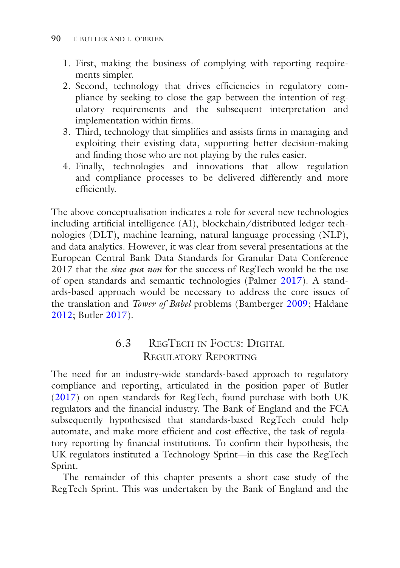- 1. First, making the business of complying with reporting requirements simpler.
- 2. Second, technology that drives effciencies in regulatory compliance by seeking to close the gap between the intention of regulatory requirements and the subsequent interpretation and implementation within frms.
- 3. Third, technology that simplifes and assists frms in managing and exploiting their existing data, supporting better decision-making and fnding those who are not playing by the rules easier.
- 4. Finally, technologies and innovations that allow regulation and compliance processes to be delivered differently and more efficiently.

The above conceptualisation indicates a role for several new technologies including artifcial intelligence (AI), blockchain/distributed ledger technologies (DLT), machine learning, natural language processing (NLP), and data analytics. However, it was clear from several presentations at the European Central Bank Data Standards for Granular Data Conference 2017 that the *sine qua non* for the success of RegTech would be the use of open standards and semantic technologies (Palmer [2017](#page-16-9)). A standards-based approach would be necessary to address the core issues of the translation and *Tower of Babel* problems (Bamberger [2009](#page-15-0); Haldane [2012](#page-16-2); Butler [2017](#page-15-2)).

# 6.3 RegTech in Focus: Digital Regulatory Reporting

The need for an industry-wide standards-based approach to regulatory compliance and reporting, articulated in the position paper of Butler ([2017\)](#page-15-2) on open standards for RegTech, found purchase with both UK regulators and the fnancial industry. The Bank of England and the FCA subsequently hypothesised that standards-based RegTech could help automate, and make more efficient and cost-effective, the task of regulatory reporting by fnancial institutions. To confrm their hypothesis, the UK regulators instituted a Technology Sprint—in this case the RegTech Sprint.

The remainder of this chapter presents a short case study of the RegTech Sprint. This was undertaken by the Bank of England and the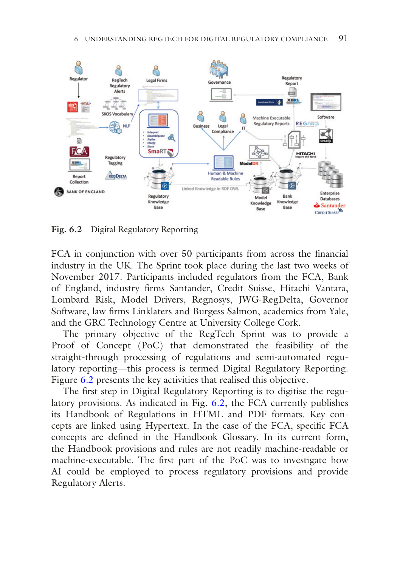

<span id="page-6-0"></span>**Fig. 6.2** Digital Regulatory Reporting

FCA in conjunction with over 50 participants from across the fnancial industry in the UK. The Sprint took place during the last two weeks of November 2017. Participants included regulators from the FCA, Bank of England, industry frms Santander, Credit Suisse, Hitachi Vantara, Lombard Risk, Model Drivers, Regnosys, JWG-RegDelta, Governor Software, law frms Linklaters and Burgess Salmon, academics from Yale, and the GRC Technology Centre at University College Cork.

The primary objective of the RegTech Sprint was to provide a Proof of Concept (PoC) that demonstrated the feasibility of the straight-through processing of regulations and semi-automated regulatory reporting—this process is termed Digital Regulatory Reporting. Figure [6.2](#page-6-0) presents the key activities that realised this objective.

The frst step in Digital Regulatory Reporting is to digitise the regulatory provisions. As indicated in Fig. [6.2,](#page-6-0) the FCA currently publishes its Handbook of Regulations in HTML and PDF formats. Key concepts are linked using Hypertext. In the case of the FCA, specifc FCA concepts are defned in the Handbook Glossary. In its current form, the Handbook provisions and rules are not readily machine-readable or machine-executable. The frst part of the PoC was to investigate how AI could be employed to process regulatory provisions and provide Regulatory Alerts.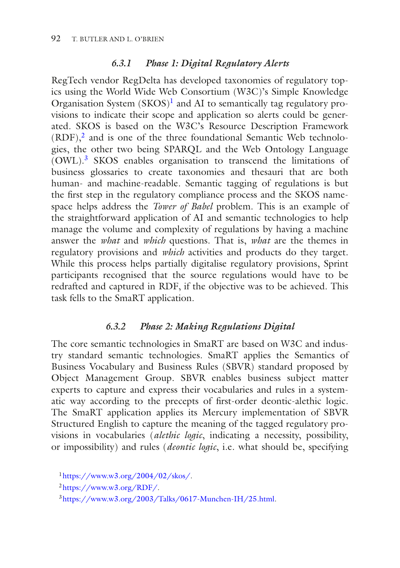### *6.3.1 Phase 1: Digital Regulatory Alerts*

RegTech vendor RegDelta has developed taxonomies of regulatory topics using the World Wide Web Consortium (W3C)'s Simple Knowledge Organisation System  $(SKOS)^{1}$  and AI to semantically tag regulatory provisions to indicate their scope and application so alerts could be generated. SKOS is based on the W3C's Resource Description Framework  $(RDF)$ ,<sup>2</sup> and is one of the three foundational Semantic Web technologies, the other two being SPARQL and the Web Ontology Language (OWL)[.3](#page-7-2) SKOS enables organisation to transcend the limitations of business glossaries to create taxonomies and thesauri that are both human- and machine-readable. Semantic tagging of regulations is but the frst step in the regulatory compliance process and the SKOS namespace helps address the *Tower of Babel* problem. This is an example of the straightforward application of AI and semantic technologies to help manage the volume and complexity of regulations by having a machine answer the *what* and *which* questions. That is, *what* are the themes in regulatory provisions and *which* activities and products do they target. While this process helps partially digitalise regulatory provisions, Sprint participants recognised that the source regulations would have to be redrafted and captured in RDF, if the objective was to be achieved. This task fells to the SmaRT application.

#### *6.3.2 Phase 2: Making Regulations Digital*

The core semantic technologies in SmaRT are based on W3C and industry standard semantic technologies. SmaRT applies the Semantics of Business Vocabulary and Business Rules (SBVR) standard proposed by Object Management Group. SBVR enables business subject matter experts to capture and express their vocabularies and rules in a systematic way according to the precepts of frst-order deontic-alethic logic. The SmaRT application applies its Mercury implementation of SBVR Structured English to capture the meaning of the tagged regulatory provisions in vocabularies (*alethic logic*, indicating a necessity, possibility, or impossibility) and rules (*deontic logic*, i.e. what should be, specifying

<span id="page-7-0"></span><sup>1</sup>[https://www.w3.org/2004/02/skos/.](https://www.w3.org/2004/02/skos/)

<span id="page-7-1"></span><sup>2</sup><https://www.w3.org/RDF/>.

<span id="page-7-2"></span><sup>3</sup><https://www.w3.org/2003/Talks/0617-Munchen-IH/25.html>.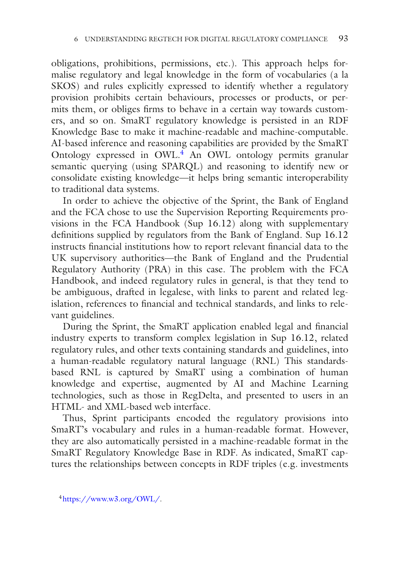obligations, prohibitions, permissions, etc.). This approach helps formalise regulatory and legal knowledge in the form of vocabularies (a la SKOS) and rules explicitly expressed to identify whether a regulatory provision prohibits certain behaviours, processes or products, or permits them, or obliges frms to behave in a certain way towards customers, and so on. SmaRT regulatory knowledge is persisted in an RDF Knowledge Base to make it machine-readable and machine-computable. AI-based inference and reasoning capabilities are provided by the SmaRT Ontology expressed in OWL[.4](#page-8-0) An OWL ontology permits granular semantic querying (using SPARQL) and reasoning to identify new or consolidate existing knowledge—it helps bring semantic interoperability to traditional data systems.

In order to achieve the objective of the Sprint, the Bank of England and the FCA chose to use the Supervision Reporting Requirements provisions in the FCA Handbook (Sup 16.12) along with supplementary defnitions supplied by regulators from the Bank of England. Sup 16.12 instructs fnancial institutions how to report relevant fnancial data to the UK supervisory authorities—the Bank of England and the Prudential Regulatory Authority (PRA) in this case. The problem with the FCA Handbook, and indeed regulatory rules in general, is that they tend to be ambiguous, drafted in legalese, with links to parent and related legislation, references to fnancial and technical standards, and links to relevant guidelines.

During the Sprint, the SmaRT application enabled legal and fnancial industry experts to transform complex legislation in Sup 16.12, related regulatory rules, and other texts containing standards and guidelines, into a human-readable regulatory natural language (RNL) This standardsbased RNL is captured by SmaRT using a combination of human knowledge and expertise, augmented by AI and Machine Learning technologies, such as those in RegDelta, and presented to users in an HTML- and XML-based web interface.

Thus, Sprint participants encoded the regulatory provisions into SmaRT's vocabulary and rules in a human-readable format. However, they are also automatically persisted in a machine-readable format in the SmaRT Regulatory Knowledge Base in RDF. As indicated, SmaRT captures the relationships between concepts in RDF triples (e.g. investments

<span id="page-8-0"></span>4[https://www.w3.org/OWL/.](https://www.w3.org/OWL/)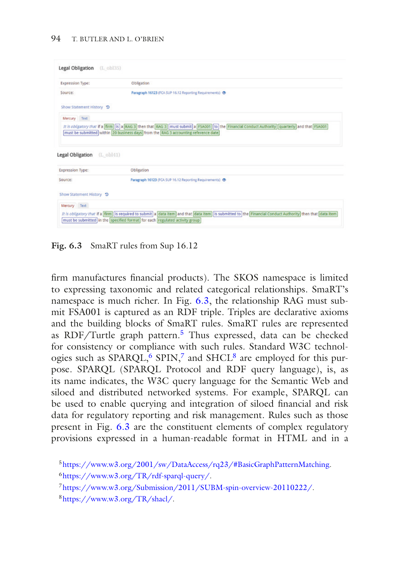| <b>Expression Type:</b>                             | Obligation                                                                                                                                         |
|-----------------------------------------------------|----------------------------------------------------------------------------------------------------------------------------------------------------|
| Source:                                             | Paragraph 16123 (FCA SUP 16.12 Reporting Requirements)                                                                                             |
| Show Statement History 5                            |                                                                                                                                                    |
| Mercury Text                                        |                                                                                                                                                    |
|                                                     | It is obligatory that if a firm is a RAG 3 then that RAG 3   must submit a FSA001   to the Financial Conduct Authority   quarterly and that FSA001 |
|                                                     |                                                                                                                                                    |
|                                                     | must be submitted within 20 business days from the RAG 3 accounting reference date                                                                 |
|                                                     |                                                                                                                                                    |
|                                                     |                                                                                                                                                    |
| Legal Obligation                                    | $(L$ obl $41)$                                                                                                                                     |
|                                                     |                                                                                                                                                    |
| <b>Expression Type:</b>                             | Obligation                                                                                                                                         |
|                                                     | Paragraph 16123 (FCA SUP 16.12 Reporting Requirements)                                                                                             |
|                                                     |                                                                                                                                                    |
| Source:<br>Show Statement History つ<br>Mercury Text |                                                                                                                                                    |

<span id="page-9-0"></span>**Fig. 6.3** SmaRT rules from Sup 16.12

frm manufactures fnancial products). The SKOS namespace is limited to expressing taxonomic and related categorical relationships. SmaRT's namespace is much richer. In Fig. [6.3](#page-9-0), the relationship RAG must submit FSA001 is captured as an RDF triple. Triples are declarative axioms and the building blocks of SmaRT rules. SmaRT rules are represented as RDF/Turtle graph pattern.<sup>5</sup> Thus expressed, data can be checked for consistency or compliance with such rules. Standard W3C technologies such as  $SPARCL$ ,  $6$  SPIN,<sup>7</sup> and SHCL<sup>8</sup> are employed for this purpose. SPARQL (SPARQL Protocol and RDF query language), is, as its name indicates, the W3C query language for the Semantic Web and siloed and distributed networked systems. For example, SPARQL can be used to enable querying and integration of siloed fnancial and risk data for regulatory reporting and risk management. Rules such as those present in Fig. [6.3](#page-9-0) are the constituent elements of complex regulatory provisions expressed in a human-readable format in HTML and in a

<span id="page-9-1"></span><sup>5</sup>[https://www.w3.org/2001/sw/DataAccess/rq23/#BasicGraphPatternMatching.](https://www.w3.org/2001/sw/DataAccess/rq23/#BasicGraphPatternMatching)

<span id="page-9-2"></span><sup>6</sup>[https://www.w3.org/TR/rdf-sparql-query/.](https://www.w3.org/TR/rdf-sparql-query/)

<span id="page-9-3"></span><sup>7</sup>[https://www.w3.org/Submission/2011/SUBM-spin-overview-20110222/.](https://www.w3.org/Submission/2011/SUBM-spin-overview-20110222/)

<span id="page-9-4"></span><sup>8</sup><https://www.w3.org/TR/shacl/>.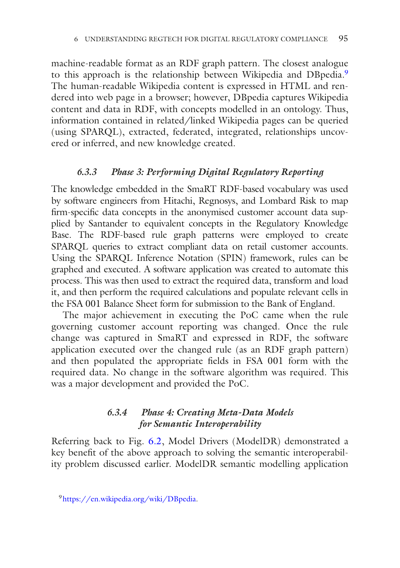machine-readable format as an RDF graph pattern. The closest analogue to this approach is the relationship between Wikipedia and DBpedia.[9](#page-10-0) The human-readable Wikipedia content is expressed in HTML and rendered into web page in a browser; however, DBpedia captures Wikipedia content and data in RDF, with concepts modelled in an ontology. Thus, information contained in related/linked Wikipedia pages can be queried (using SPARQL), extracted, federated, integrated, relationships uncovered or inferred, and new knowledge created.

#### *6.3.3 Phase 3: Performing Digital Regulatory Reporting*

The knowledge embedded in the SmaRT RDF-based vocabulary was used by software engineers from Hitachi, Regnosys, and Lombard Risk to map frm-specifc data concepts in the anonymised customer account data supplied by Santander to equivalent concepts in the Regulatory Knowledge Base. The RDF-based rule graph patterns were employed to create SPARQL queries to extract compliant data on retail customer accounts. Using the SPARQL Inference Notation (SPIN) framework, rules can be graphed and executed. A software application was created to automate this process. This was then used to extract the required data, transform and load it, and then perform the required calculations and populate relevant cells in the FSA 001 Balance Sheet form for submission to the Bank of England.

The major achievement in executing the PoC came when the rule governing customer account reporting was changed. Once the rule change was captured in SmaRT and expressed in RDF, the software application executed over the changed rule (as an RDF graph pattern) and then populated the appropriate felds in FSA 001 form with the required data. No change in the software algorithm was required. This was a major development and provided the PoC.

#### *6.3.4 Phase 4: Creating Meta-Data Models for Semantic Interoperability*

Referring back to Fig. [6.2,](#page-6-0) Model Drivers (ModelDR) demonstrated a key beneft of the above approach to solving the semantic interoperability problem discussed earlier. ModelDR semantic modelling application

<span id="page-10-0"></span><sup>9</sup>[https://en.wikipedia.org/wiki/DBpedia.](https://en.wikipedia.org/wiki/DBpedia)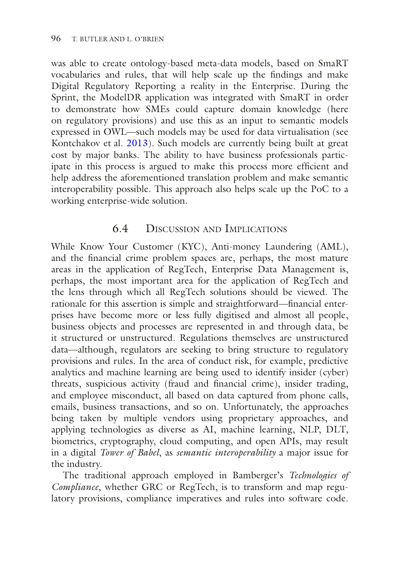was able to create ontology-based meta-data models, based on SmaRT vocabularies and rules, that will help scale up the fndings and make Digital Regulatory Reporting a reality in the Enterprise. During the Sprint, the ModelDR application was integrated with SmaRT in order to demonstrate how SMEs could capture domain knowledge (here on regulatory provisions) and use this as an input to semantic models expressed in OWL—such models may be used for data virtualisation (see Kontchakov et al. [2013](#page-16-10)). Such models are currently being built at great cost by major banks. The ability to have business professionals participate in this process is argued to make this process more efficient and help address the aforementioned translation problem and make semantic interoperability possible. This approach also helps scale up the PoC to a working enterprise-wide solution.

# 6.4 Discussion and Implications

While Know Your Customer (KYC), Anti-money Laundering (AML), and the fnancial crime problem spaces are, perhaps, the most mature areas in the application of RegTech, Enterprise Data Management is, perhaps, the most important area for the application of RegTech and the lens through which all RegTech solutions should be viewed. The rationale for this assertion is simple and straightforward—fnancial enterprises have become more or less fully digitised and almost all people, business objects and processes are represented in and through data, be it structured or unstructured. Regulations themselves are unstructured data—although, regulators are seeking to bring structure to regulatory provisions and rules. In the area of conduct risk, for example, predictive analytics and machine learning are being used to identify insider (cyber) threats, suspicious activity (fraud and fnancial crime), insider trading, and employee misconduct, all based on data captured from phone calls, emails, business transactions, and so on. Unfortunately, the approaches being taken by multiple vendors using proprietary approaches, and applying technologies as diverse as AI, machine learning, NLP, DLT, biometrics, cryptography, cloud computing, and open APIs, may result in a digital *Tower of Babel*, as *semantic interoperability* a major issue for the industry.

The traditional approach employed in Bamberger's *Technologies of Compliance*, whether GRC or RegTech, is to transform and map regulatory provisions, compliance imperatives and rules into software code.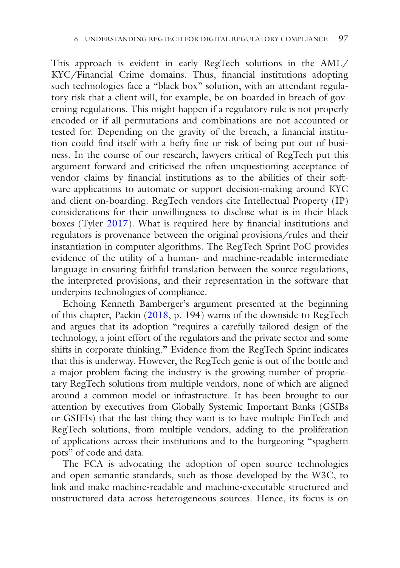This approach is evident in early RegTech solutions in the AML/ KYC/Financial Crime domains. Thus, fnancial institutions adopting such technologies face a "black box" solution, with an attendant regulatory risk that a client will, for example, be on-boarded in breach of governing regulations. This might happen if a regulatory rule is not properly encoded or if all permutations and combinations are not accounted or tested for. Depending on the gravity of the breach, a fnancial institution could fnd itself with a hefty fne or risk of being put out of business. In the course of our research, lawyers critical of RegTech put this argument forward and criticised the often unquestioning acceptance of vendor claims by fnancial institutions as to the abilities of their software applications to automate or support decision-making around KYC and client on-boarding. RegTech vendors cite Intellectual Property (IP) considerations for their unwillingness to disclose what is in their black boxes (Tyler [2017\)](#page-16-11). What is required here by fnancial institutions and regulators is provenance between the original provisions/rules and their instantiation in computer algorithms. The RegTech Sprint PoC provides evidence of the utility of a human- and machine-readable intermediate language in ensuring faithful translation between the source regulations, the interpreted provisions, and their representation in the software that underpins technologies of compliance.

Echoing Kenneth Bamberger's argument presented at the beginning of this chapter, Packin ([2018,](#page-16-1) p. 194) warns of the downside to RegTech and argues that its adoption "requires a carefully tailored design of the technology, a joint effort of the regulators and the private sector and some shifts in corporate thinking." Evidence from the RegTech Sprint indicates that this is underway. However, the RegTech genie is out of the bottle and a major problem facing the industry is the growing number of proprietary RegTech solutions from multiple vendors, none of which are aligned around a common model or infrastructure. It has been brought to our attention by executives from Globally Systemic Important Banks (GSIBs or GSIFIs) that the last thing they want is to have multiple FinTech and RegTech solutions, from multiple vendors, adding to the proliferation of applications across their institutions and to the burgeoning "spaghetti pots" of code and data.

The FCA is advocating the adoption of open source technologies and open semantic standards, such as those developed by the W3C, to link and make machine-readable and machine-executable structured and unstructured data across heterogeneous sources. Hence, its focus is on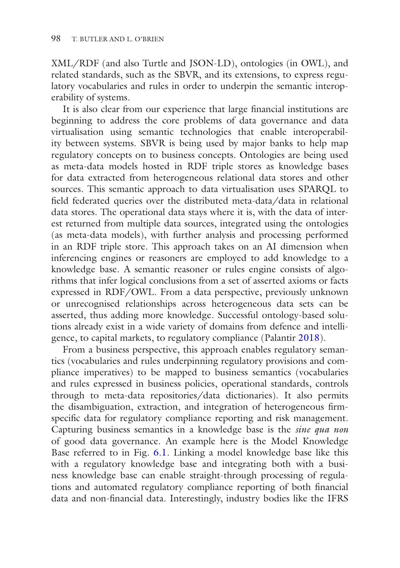XML/RDF (and also Turtle and JSON-LD), ontologies (in OWL), and related standards, such as the SBVR, and its extensions, to express regulatory vocabularies and rules in order to underpin the semantic interoperability of systems.

It is also clear from our experience that large fnancial institutions are beginning to address the core problems of data governance and data virtualisation using semantic technologies that enable interoperability between systems. SBVR is being used by major banks to help map regulatory concepts on to business concepts. Ontologies are being used as meta-data models hosted in RDF triple stores as knowledge bases for data extracted from heterogeneous relational data stores and other sources. This semantic approach to data virtualisation uses SPARQL to feld federated queries over the distributed meta-data/data in relational data stores. The operational data stays where it is, with the data of interest returned from multiple data sources, integrated using the ontologies (as meta-data models), with further analysis and processing performed in an RDF triple store. This approach takes on an AI dimension when inferencing engines or reasoners are employed to add knowledge to a knowledge base. A semantic reasoner or rules engine consists of algorithms that infer logical conclusions from a set of asserted axioms or facts expressed in RDF/OWL. From a data perspective, previously unknown or unrecognised relationships across heterogeneous data sets can be asserted, thus adding more knowledge. Successful ontology-based solutions already exist in a wide variety of domains from defence and intelligence, to capital markets, to regulatory compliance (Palantir [2018](#page-16-12)).

From a business perspective, this approach enables regulatory semantics (vocabularies and rules underpinning regulatory provisions and compliance imperatives) to be mapped to business semantics (vocabularies and rules expressed in business policies, operational standards, controls through to meta-data repositories/data dictionaries). It also permits the disambiguation, extraction, and integration of heterogeneous frmspecifc data for regulatory compliance reporting and risk management. Capturing business semantics in a knowledge base is the *sine qua non* of good data governance. An example here is the Model Knowledge Base referred to in Fig. [6.1](#page-3-0). Linking a model knowledge base like this with a regulatory knowledge base and integrating both with a business knowledge base can enable straight-through processing of regulations and automated regulatory compliance reporting of both fnancial data and non-fnancial data. Interestingly, industry bodies like the IFRS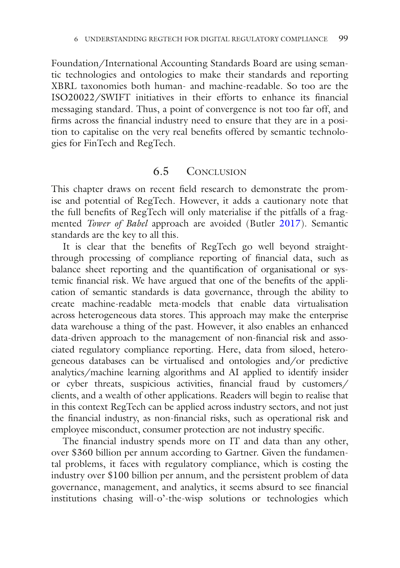Foundation/International Accounting Standards Board are using semantic technologies and ontologies to make their standards and reporting XBRL taxonomies both human- and machine-readable. So too are the ISO20022/SWIFT initiatives in their efforts to enhance its fnancial messaging standard. Thus, a point of convergence is not too far off, and frms across the fnancial industry need to ensure that they are in a position to capitalise on the very real benefts offered by semantic technologies for FinTech and RegTech.

#### 6.5 Conclusion

This chapter draws on recent feld research to demonstrate the promise and potential of RegTech. However, it adds a cautionary note that the full benefts of RegTech will only materialise if the pitfalls of a fragmented *Tower of Babel* approach are avoided (Butler [2017\)](#page-15-2). Semantic standards are the key to all this.

It is clear that the benefts of RegTech go well beyond straightthrough processing of compliance reporting of fnancial data, such as balance sheet reporting and the quantifcation of organisational or systemic fnancial risk. We have argued that one of the benefts of the application of semantic standards is data governance, through the ability to create machine-readable meta-models that enable data virtualisation across heterogeneous data stores. This approach may make the enterprise data warehouse a thing of the past. However, it also enables an enhanced data-driven approach to the management of non-fnancial risk and associated regulatory compliance reporting. Here, data from siloed, heterogeneous databases can be virtualised and ontologies and/or predictive analytics/machine learning algorithms and AI applied to identify insider or cyber threats, suspicious activities, fnancial fraud by customers/ clients, and a wealth of other applications. Readers will begin to realise that in this context RegTech can be applied across industry sectors, and not just the fnancial industry, as non-fnancial risks, such as operational risk and employee misconduct, consumer protection are not industry specifc.

The fnancial industry spends more on IT and data than any other, over \$360 billion per annum according to Gartner. Given the fundamental problems, it faces with regulatory compliance, which is costing the industry over \$100 billion per annum, and the persistent problem of data governance, management, and analytics, it seems absurd to see fnancial institutions chasing will-o'-the-wisp solutions or technologies which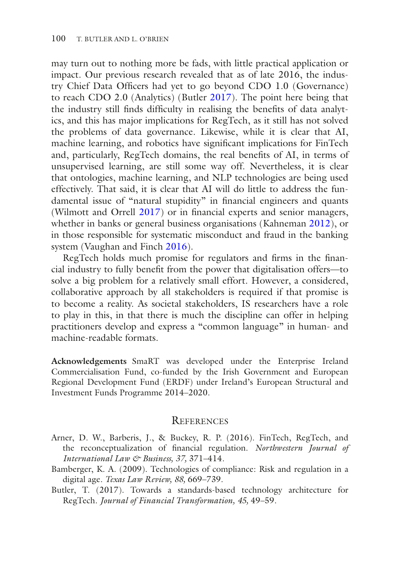may turn out to nothing more be fads, with little practical application or impact. Our previous research revealed that as of late 2016, the industry Chief Data Officers had yet to go beyond CDO 1.0 (Governance) to reach CDO 2.0 (Analytics) (Butler [2017\)](#page-15-2). The point here being that the industry still finds difficulty in realising the benefits of data analytics, and this has major implications for RegTech, as it still has not solved the problems of data governance. Likewise, while it is clear that AI, machine learning, and robotics have signifcant implications for FinTech and, particularly, RegTech domains, the real benefts of AI, in terms of unsupervised learning, are still some way off. Nevertheless, it is clear that ontologies, machine learning, and NLP technologies are being used effectively. That said, it is clear that AI will do little to address the fundamental issue of "natural stupidity" in fnancial engineers and quants (Wilmott and Orrell [2017](#page-17-2)) or in fnancial experts and senior managers, whether in banks or general business organisations (Kahneman [2012\)](#page-16-13), or in those responsible for systematic misconduct and fraud in the banking system (Vaughan and Finch [2016](#page-16-14)).

RegTech holds much promise for regulators and frms in the fnancial industry to fully beneft from the power that digitalisation offers—to solve a big problem for a relatively small effort. However, a considered, collaborative approach by all stakeholders is required if that promise is to become a reality. As societal stakeholders, IS researchers have a role to play in this, in that there is much the discipline can offer in helping practitioners develop and express a "common language" in human- and machine-readable formats.

**Acknowledgements** SmaRT was developed under the Enterprise Ireland Commercialisation Fund, co-funded by the Irish Government and European Regional Development Fund (ERDF) under Ireland's European Structural and Investment Funds Programme 2014–2020.

#### **REFERENCES**

- <span id="page-15-1"></span>Arner, D. W., Barberis, J., & Buckey, R. P. (2016). FinTech, RegTech, and the reconceptualization of fnancial regulation. *Northwestern Journal of International Law & Business, 37,* 371–414.
- <span id="page-15-0"></span>Bamberger, K. A. (2009). Technologies of compliance: Risk and regulation in a digital age. *Texas Law Review, 88,* 669–739.
- <span id="page-15-2"></span>Butler, T. (2017). Towards a standards-based technology architecture for RegTech. *Journal of Financial Transformation, 45,* 49–59.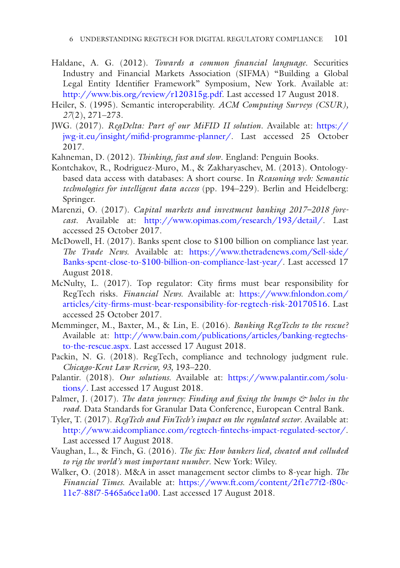- <span id="page-16-2"></span>Haldane, A. G. (2012). *Towards a common fnancial language*. Securities Industry and Financial Markets Association (SIFMA) "Building a Global Legal Entity Identifer Framework" Symposium, New York. Available at: [http://www.bis.org/review/r120315g.pdf.](http://www.bis.org/review/r120315g.pdf) Last accessed 17 August 2018.
- <span id="page-16-3"></span>Heiler, S. (1995). Semantic interoperability. *ACM Computing Surveys (CSUR), 27*(2), 271–273.
- <span id="page-16-6"></span>JWG. (2017). *RegDelta: Part of our MiFID II solution*. Available at: [https://](https://jwg-it.eu/insight/mifid-programme-planner/) [jwg-it.eu/insight/mifd-programme-planner/.](https://jwg-it.eu/insight/mifid-programme-planner/) Last accessed 25 October 2017.
- <span id="page-16-13"></span>Kahneman, D. (2012). *Thinking, fast and slow*. England: Penguin Books.
- <span id="page-16-10"></span>Kontchakov, R., Rodriguez-Muro, M., & Zakharyaschev, M. (2013). Ontologybased data access with databases: A short course. In *Reasoning web: Semantic technologies for intelligent data access* (pp. 194–229). Berlin and Heidelberg: Springer.
- <span id="page-16-8"></span>Marenzi, O. (2017). *Capital markets and investment banking 2017–2018 forecast*. Available at: [http://www.opimas.com/research/193/detail/.](http://www.opimas.com/research/193/detail/) Last accessed 25 October 2017.
- <span id="page-16-4"></span>McDowell, H. (2017). Banks spent close to \$100 billion on compliance last year. *The Trade News*. Available at: [https://www.thetradenews.com/Sell-side/](https://www.thetradenews.com/Sell-side/Banks-spent-close-to-%24100-billion-on-compliance-last-year/) [Banks-spent-close-to-\\$100-billion-on-compliance-last-year/.](https://www.thetradenews.com/Sell-side/Banks-spent-close-to-%24100-billion-on-compliance-last-year/) Last accessed 17 August 2018.
- <span id="page-16-0"></span>McNulty, L. (2017). Top regulator: City frms must bear responsibility for RegTech risks. *Financial News*. Available at: [https://www.fnlondon.com/](https://www.fnlondon.com/articles/city-firms-must-bear-responsibility-for-regtech-risk-20170516) [articles/city-frms-must-bear-responsibility-for-regtech-risk-20170516.](https://www.fnlondon.com/articles/city-firms-must-bear-responsibility-for-regtech-risk-20170516) Last accessed 25 October 2017.
- <span id="page-16-5"></span>Memminger, M., Baxter, M., & Lin, E. (2016). *Banking RegTechs to the rescue?* Available at: [http://www.bain.com/publications/articles/banking-regtechs](http://www.bain.com/publications/articles/banking-regtechs-to-the-rescue.aspx)[to-the-rescue.aspx](http://www.bain.com/publications/articles/banking-regtechs-to-the-rescue.aspx). Last accessed 17 August 2018.
- <span id="page-16-1"></span>Packin, N. G. (2018). RegTech, compliance and technology judgment rule. *Chicago-Kent Law Review, 93,* 193–220.
- <span id="page-16-12"></span>Palantir. (2018). *Our solutions*. Available at: [https://www.palantir.com/solu](https://www.palantir.com/solutions/)[tions/](https://www.palantir.com/solutions/). Last accessed 17 August 2018.
- <span id="page-16-9"></span>Palmer, J. (2017). *The data journey: Finding and fixing the bumps*  $\circledcirc$  *holes in the road*. Data Standards for Granular Data Conference, European Central Bank.
- <span id="page-16-11"></span>Tyler, T. (2017). *RegTech and FinTech's impact on the regulated sector*. Available at: [http://www.aidcompliance.com/regtech-fntechs-impact-regulated-sector/.](http://www.aidcompliance.com/regtech-fintechs-impact-regulated-sector/) Last accessed 17 August 2018.
- <span id="page-16-14"></span>Vaughan, L., & Finch, G. (2016). *The fx: How bankers lied, cheated and colluded to rig the world's most important number*. New York: Wiley.
- <span id="page-16-7"></span>Walker, O. (2018). M&A in asset management sector climbs to 8-year high. *The Financial Times*. Available at: [https://www.ft.com/content/2f1e77f2-f80c-](https://www.ft.com/content/2f1e77f2-f80c-11e7-88f7-5465a6ce1a00)[11e7-88f7-5465a6ce1a00.](https://www.ft.com/content/2f1e77f2-f80c-11e7-88f7-5465a6ce1a00) Last accessed 17 August 2018.